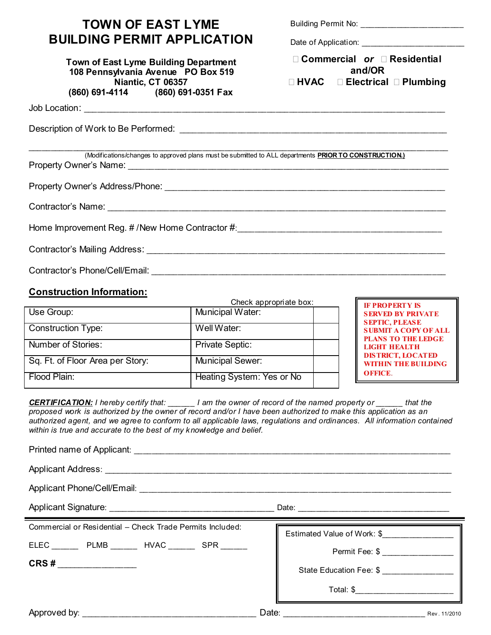| <b>TOWN OF EAST LYME</b>           |
|------------------------------------|
| <b>BUILDING PERMIT APPLICATION</b> |

Town of East Lyme Building Department 108 Pennsylvania Avenue PO Box 519 Niantic, CT 06357<br>(860) 691-4114 (860) 69 (860) 691-0351 Fax

Building Permit No: \_\_\_\_\_\_\_\_\_\_\_\_\_\_\_\_\_\_\_\_\_\_\_

Date of Application: \_\_\_\_\_\_\_\_\_\_\_\_\_\_\_\_\_\_\_\_\_\_\_

| Commercial or |  |  |  | <b>Residential</b>         |
|---------------|--|--|--|----------------------------|
| and/OR        |  |  |  |                            |
| <b>HVAC</b>   |  |  |  | <b>Electrical Plumbing</b> |

Job Location: \_\_\_\_\_\_\_\_\_\_\_\_\_\_\_\_\_\_\_\_\_\_\_\_\_\_\_\_\_\_\_\_\_\_\_\_\_\_\_\_\_\_\_\_\_\_\_\_\_\_\_\_\_\_\_\_\_\_\_\_\_\_\_\_\_\_\_\_\_\_\_\_\_\_\_\_\_\_\_\_\_

Description of Work to Be Performed: \_\_\_\_\_\_\_\_\_\_\_\_\_\_\_\_\_\_\_\_\_\_\_\_\_\_\_\_\_\_\_\_\_\_\_\_\_\_\_\_\_\_\_\_\_\_\_\_\_\_\_\_\_\_\_\_\_\_\_\_

\_\_\_\_\_\_\_\_\_\_\_\_\_\_\_\_\_\_\_\_\_\_\_\_\_\_\_\_\_\_\_\_\_\_\_\_\_\_\_\_\_\_\_\_\_\_\_\_\_\_\_\_\_\_\_\_\_\_\_\_\_\_\_\_\_\_\_\_\_\_\_\_\_\_\_\_\_\_\_\_\_\_\_\_\_\_\_\_\_\_\_\_\_\_ (Modifications/changes to approved plans must be submitted to ALL departments **PRIOR TO CONSTRUCTION.)** Property Owner's Name:

Property Owner's Address/Phone: \_\_\_\_\_\_\_\_\_\_\_\_\_\_\_\_\_\_\_\_\_\_\_\_\_\_\_\_\_\_\_\_\_\_\_\_\_\_\_\_\_\_\_\_\_\_\_\_\_\_\_\_\_\_\_\_\_\_\_\_\_\_\_

Contractor's Name: \_\_\_\_\_\_\_\_\_\_\_\_\_\_\_\_\_\_\_\_\_\_\_\_\_\_\_\_\_\_\_\_\_\_\_\_\_\_\_\_\_\_\_\_\_\_\_\_\_\_\_\_\_\_\_\_\_\_\_\_\_\_\_\_\_\_\_\_\_\_\_\_\_\_\_\_

Home Improvement Reg. # /New Home Contractor #:\_\_\_\_\_\_\_\_\_\_\_\_\_\_\_\_\_\_\_\_\_\_\_\_\_\_\_\_\_\_\_\_\_\_\_\_\_\_\_\_\_\_\_\_\_\_

Contractor's Mailing Address: \_\_\_\_\_\_\_\_\_\_\_\_\_\_\_\_\_\_\_\_\_\_\_\_\_\_\_\_\_\_\_\_\_\_\_\_\_\_\_\_\_\_\_\_\_\_\_\_\_\_\_\_\_\_\_\_\_\_\_\_\_\_\_\_\_\_\_

Contractor's Phone/Cell/Email: \_\_\_\_\_\_\_\_\_\_\_\_\_\_\_\_\_\_\_\_\_\_\_\_\_\_\_\_\_\_\_\_\_\_\_\_\_\_\_\_\_\_\_\_\_\_\_\_\_\_\_\_\_\_\_\_\_\_\_\_\_\_\_\_\_\_

## Construction Information:

|                                  | Check appropriate box:    |
|----------------------------------|---------------------------|
| Use Group:                       | Municipal Water:          |
| <b>Construction Type:</b>        | Well Water:               |
| Number of Stories:               | <b>Private Septic:</b>    |
| Sq. Ft. of Floor Area per Story: | <b>Municipal Sewer:</b>   |
| Flood Plain:                     | Heating System: Yes or No |

IF PROPERTY IS SERVED BY PRIVATE SEPTIC, PLEASE SUBMIT A COPY OF ALL PLANS TO THE LEDGE LIGHT HEALTH DISTRICT, LOCATED WITHIN THE BUILDING **OFFICE.** 

CERTIFICATION: I hereby certify that: \_\_\_\_\_\_ I am the owner of record of the named property or \_\_\_\_\_\_ that the proposed work is authorized by the owner of record and/or I have been authorized to make this application as an authorized agent, and we agree to conform to all applicable laws, regulations and ordinances. All information contained within is true and accurate to the best of my knowledge and belief.

| Commercial or Residential – Check Trade Permits Included: | Estimated Value of Work: \$         |
|-----------------------------------------------------------|-------------------------------------|
| ELEC PLMB HVAC SPR                                        | Permit Fee: \$ _________________    |
| CRS # ________________                                    | State Education Fee: \$             |
|                                                           | Total: \$__________________________ |
|                                                           | Date:<br>Rev. 11/2010               |